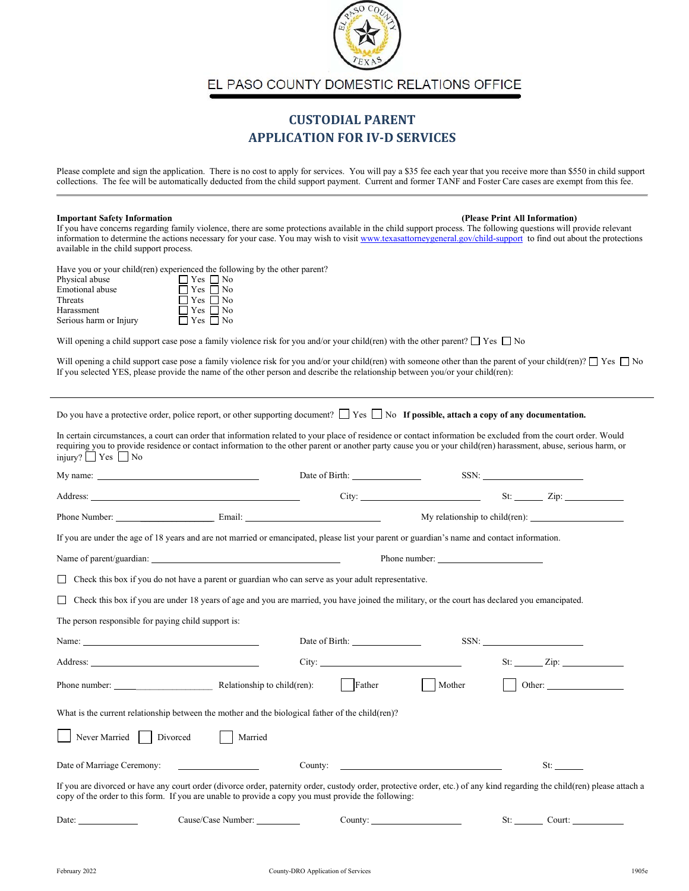

EL PASO COUNTY DOMESTIC RELATIONS OFFICE

## **CUSTODIAL PARENT APPLICATION FOR IV-D SERVICES**

Please complete and sign the application. There is no cost to apply for services. You will pay a \$35 fee each year that you receive more than \$550 in child support collections. The fee will be automatically deducted from the child support payment. Current and former TANF and Foster Care cases are exempt from this fee.

## **Important Safety Information (Please Print All Information)**

If you have concerns regarding family violence, there are some protections available in the child support process. The following questions will provide relevant information to determine the actions necessary for your case. You may wish to visi[t www.texasattorneygeneral.gov/child-support](http://www.texasattorneygeneral.gov/child-support) to find out about the protections available in the child support process.

Have you or your child(ren) experienced the following by the other parent?

| Physical abuse         | $\Box$ Yes $\Box$ No |
|------------------------|----------------------|
| <b>Emotional</b> abuse | $\Box$ Yes $\Box$ No |
| Threats                | $\Box$ Yes $\Box$ No |
| Harassment             | $\Box$ Yes $\Box$ No |
| Serious harm or Injury | $\Box$ Yes $\Box$ No |
|                        |                      |

Will opening a child support case pose a family violence risk for you and/or your child(ren) with the other parent?  $\Box$  Yes  $\Box$  No

Will opening a child support case pose a family violence risk for you and/or your child(ren) with someone other than the parent of your child(ren)?  $\Box$  Yes  $\Box$  No If you selected YES, please provide the name of the other person and describe the relationship between you/or your child(ren):

| Do you have a protective order, police report, or other supporting document? $\Box$ Yes $\Box$ No If possible, attach a copy of any documentation. |  |  |
|----------------------------------------------------------------------------------------------------------------------------------------------------|--|--|
|                                                                                                                                                    |  |  |

In certain circumstances, a court can order that information related to your place of residence or contact information be excluded from the court order. Would requiring you to provide residence or contact information to the other parent or another party cause you or your child(ren) harassment, abuse, serious harm, or injury? □ Yes □ No

| My name: $\frac{1}{\sqrt{1-\frac{1}{2}} \cdot \frac{1}{2}}$                                                                                                                                                                                                                     |                    |        | SSN:                                         |
|---------------------------------------------------------------------------------------------------------------------------------------------------------------------------------------------------------------------------------------------------------------------------------|--------------------|--------|----------------------------------------------|
|                                                                                                                                                                                                                                                                                 |                    |        |                                              |
|                                                                                                                                                                                                                                                                                 |                    |        | My relationship to child(ren): $\frac{1}{2}$ |
| If you are under the age of 18 years and are not married or emancipated, please list your parent or guardian's name and contact information.                                                                                                                                    |                    |        |                                              |
| Name of parent/guardian:                                                                                                                                                                                                                                                        |                    |        |                                              |
| Check this box if you do not have a parent or guardian who can serve as your adult representative.<br>П                                                                                                                                                                         |                    |        |                                              |
| Check this box if you are under 18 years of age and you are married, you have joined the military, or the court has declared you emancipated.<br>$\overline{\phantom{a}}$                                                                                                       |                    |        |                                              |
| The person responsible for paying child support is:                                                                                                                                                                                                                             |                    |        |                                              |
| Name: $\frac{1}{2}$                                                                                                                                                                                                                                                             |                    |        | $SSN:$                                       |
|                                                                                                                                                                                                                                                                                 |                    |        |                                              |
|                                                                                                                                                                                                                                                                                 |                    | Mother |                                              |
| What is the current relationship between the mother and the biological father of the child(ren)?                                                                                                                                                                                |                    |        |                                              |
| Never Married Divorced                                                                                                                                                                                                                                                          | Married            |        |                                              |
| Date of Marriage Ceremony:                                                                                                                                                                                                                                                      |                    |        | St:                                          |
| If you are divorced or have any court order (divorce order, paternity order, custody order, protective order, etc.) of any kind regarding the child(ren) please attach a<br>copy of the order to this form. If you are unable to provide a copy you must provide the following: |                    |        |                                              |
| Date: $\qquad \qquad$                                                                                                                                                                                                                                                           | Cause/Case Number: |        | St: Court:                                   |